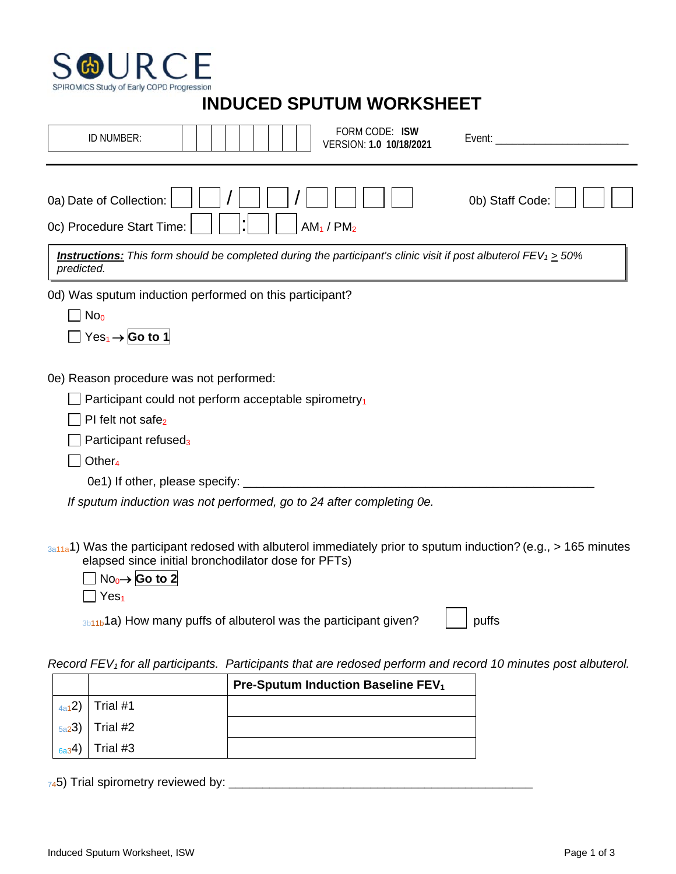

## **INDUCED SPUTUM WORKSHEET**

| FORM CODE: ISW<br>ID NUMBER:<br>Event:<br>VERSION: 1.0 10/18/2021                                                                                                                                                                                                                                                |  |
|------------------------------------------------------------------------------------------------------------------------------------------------------------------------------------------------------------------------------------------------------------------------------------------------------------------|--|
| 0b) Staff Code:<br>0a) Date of Collection:<br>0c) Procedure Start Time:<br>$AM_1 / PM_2$                                                                                                                                                                                                                         |  |
| <b>Instructions:</b> This form should be completed during the participant's clinic visit if post albuterol $FEV_1 > 50\%$<br>predicted.                                                                                                                                                                          |  |
| 0d) Was sputum induction performed on this participant?<br>No <sub>0</sub><br>$Yes_1 \rightarrow$ Go to 1                                                                                                                                                                                                        |  |
| 0e) Reason procedure was not performed:<br>Participant could not perform acceptable spirometry <sub>1</sub><br>PI felt not safe <sub>2</sub><br>Participant refused <sub>3</sub><br>Other <sub>4</sub><br>0e1) If other, please specify:<br>If sputum induction was not performed, go to 24 after completing 0e. |  |
| $_{3a11a}$ 1) Was the participant redosed with albuterol immediately prior to sputum induction? (e.g., > 165 minutes<br>elapsed since initial bronchodilator dose for PFTs)                                                                                                                                      |  |

No0→ **Go to 2**  $\prod$  Yes<sub>1</sub>

 $3b11b$ 1a) How many puffs of albuterol was the participant given?  $\vert$  | puffs

*Record FEV1 for all participants. Participants that are redosed perform and record 10 minutes post albuterol.*

|            |                     | <b>Pre-Sputum Induction Baseline FEV<sub>1</sub></b> |
|------------|---------------------|------------------------------------------------------|
|            | $_{4a1}2)$ Trial #1 |                                                      |
|            | $_{5a2}3)$ Trial #2 |                                                      |
| $_{6a3}4)$ | Trial #3            |                                                      |

745) Trial spirometry reviewed by: \_\_\_\_\_\_\_\_\_\_\_\_\_\_\_\_\_\_\_\_\_\_\_\_\_\_\_\_\_\_\_\_\_\_\_\_\_\_\_\_\_\_\_\_\_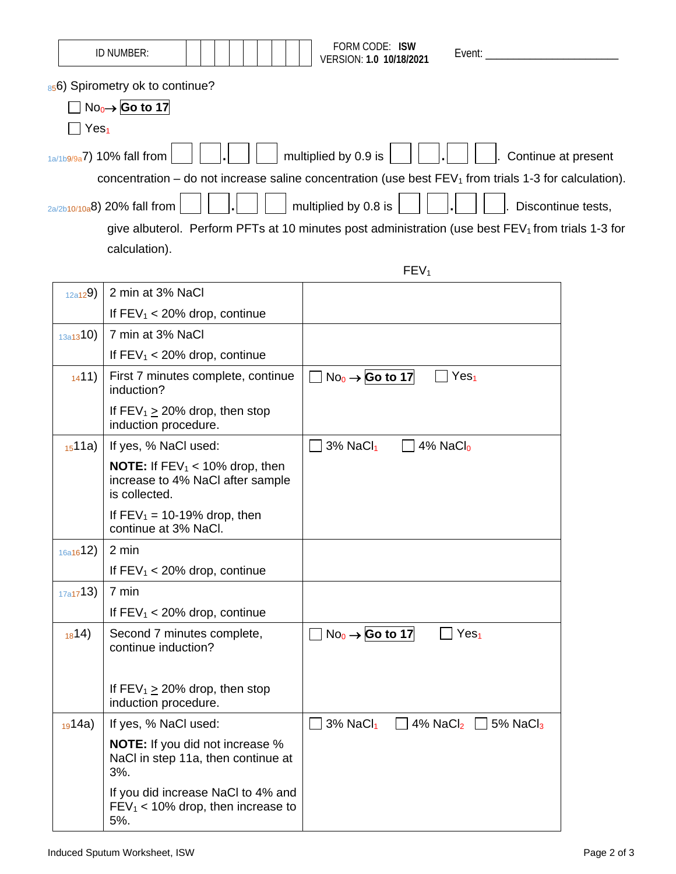|                  | ID NUMBER:                                                                                     | FORM CODE: ISW<br>Event:<br>VERSION: 1.0 10/18/2021                                                     |
|------------------|------------------------------------------------------------------------------------------------|---------------------------------------------------------------------------------------------------------|
| Yes <sub>1</sub> | 856) Spirometry ok to continue?<br>$No0 \rightarrow$ Go to 17                                  |                                                                                                         |
|                  | $_{1a/1b9/9a}$ 7) 10% fall from                                                                | multiplied by 0.9 is<br>Continue at present                                                             |
|                  |                                                                                                | concentration – do not increase saline concentration (use best $FEV1$ from trials 1-3 for calculation). |
|                  | 2a/2b10/10a8) 20% fall from                                                                    | multiplied by 0.8 is<br>Discontinue tests,                                                              |
|                  |                                                                                                | give albuterol. Perform PFTs at 10 minutes post administration (use best $FEV1$ from trials 1-3 for     |
|                  | calculation).                                                                                  |                                                                                                         |
|                  |                                                                                                | FEV <sub>1</sub>                                                                                        |
| 12a129)          | 2 min at 3% NaCl                                                                               |                                                                                                         |
|                  | If $FEV_1 < 20\%$ drop, continue                                                               |                                                                                                         |
| 13a1310)         | 7 min at 3% NaCl                                                                               |                                                                                                         |
| 1411)            | If $FEV_1 < 20\%$ drop, continue<br>First 7 minutes complete, continue                         | $No0 \rightarrow$ Go to 17<br>Yes <sub>1</sub>                                                          |
|                  | induction?                                                                                     |                                                                                                         |
|                  | If $FEV_1 \ge 20\%$ drop, then stop<br>induction procedure.                                    |                                                                                                         |
| 1511a)           | If yes, % NaCl used:                                                                           | $3%$ NaCl <sub>1</sub><br>4% NaCl <sub>0</sub>                                                          |
|                  | <b>NOTE:</b> If $FEV_1 < 10\%$ drop, then<br>increase to 4% NaCl after sample<br>is collected. |                                                                                                         |
|                  | If $FEV_1 = 10-19\%$ drop, then<br>continue at 3% NaCl.                                        |                                                                                                         |
| 16a1612)         | 2 min                                                                                          |                                                                                                         |
|                  | If $FEV_1 < 20\%$ drop, continue                                                               |                                                                                                         |
| 17a1713)         | 7 min                                                                                          |                                                                                                         |
|                  | If $FEV_1 < 20\%$ drop, continue                                                               |                                                                                                         |
| 1814)            | Second 7 minutes complete,<br>continue induction?                                              | $No_0 \rightarrow$ Go to 17<br>Yes <sub>1</sub>                                                         |
|                  | If $FEV_1 \ge 20\%$ drop, then stop<br>induction procedure.                                    |                                                                                                         |
| $_{19}14a)$      | If yes, % NaCl used:                                                                           | $3%$ NaCl <sub>1</sub><br>4% $NaCl2$ $\Box$ 5% $NaCl3$                                                  |
|                  | <b>NOTE:</b> If you did not increase %<br>NaCl in step 11a, then continue at<br>3%.            |                                                                                                         |
|                  | If you did increase NaCl to 4% and<br>$FEV_1 < 10\%$ drop, then increase to<br>5%.             |                                                                                                         |